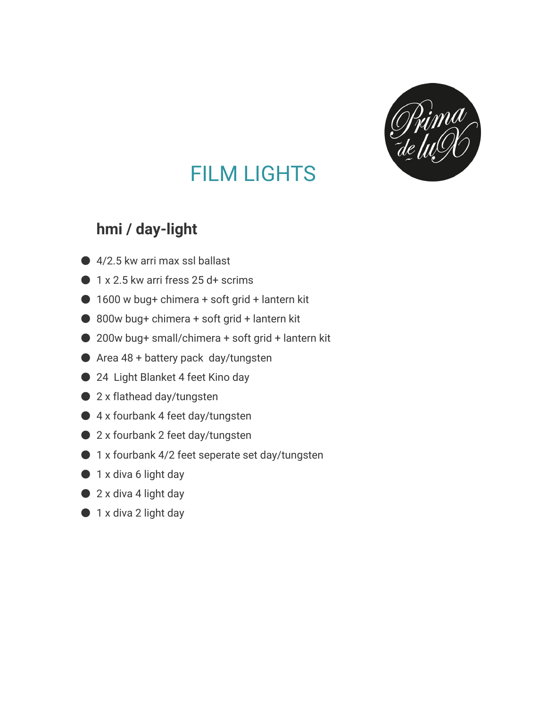

## FILM LIGHTS

## **hmi / day-light**

- 4/2.5 kw arri max ssl ballast
- $\bullet$  1 x 2.5 kw arri fress 25 d+ scrims
- $\bigcirc$  1600 w bug+ chimera + soft grid + lantern kit
- $\bullet$  800w bug+ chimera + soft grid + lantern kit
- 200w bug+ small/chimera + soft grid + lantern kit
- $\bullet$  Area 48 + battery pack day/tungsten
- 24 Light Blanket 4 feet Kino day
- 2 x flathead day/tungsten
- 4 x fourbank 4 feet day/tungsten
- 2 x fourbank 2 feet day/tungsten
- 1 x fourbank 4/2 feet seperate set day/tungsten
- 1 x diva 6 light day
- 2 x diva 4 light day
- 1 x diva 2 light day